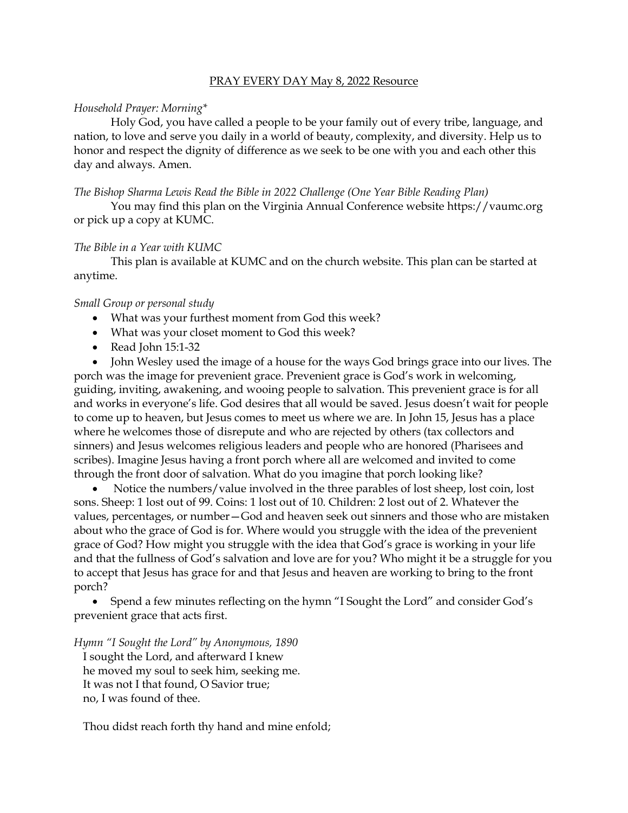## PRAY EVERY DAY May 8, 2022 Resource

### *Household Prayer: Morning\**

Holy God, you have called a people to be your family out of every tribe, language, and nation, to love and serve you daily in a world of beauty, complexity, and diversity. Help us to honor and respect the dignity of difference as we seek to be one with you and each other this day and always. Amen.

## *The Bishop Sharma Lewis Read the Bible in 2022 Challenge (One Year Bible Reading Plan)*

You may find this plan on the Virginia Annual Conference website [https://vaumc.org](https://vaumc.org/) or pick up a copy at KUMC.

### *The Bible in a Year with KUMC*

This plan is available at KUMC and on the church website. This plan can be started at anytime.

### *Small Group or personal study*

- What was your furthest moment from God this week?
- What was your closet moment to God this week?
- Read John 15:1-32

• John Wesley used the image of a house for the ways God brings grace into our lives. The porch was the image for prevenient grace. Prevenient grace is God's work in welcoming, guiding, inviting, awakening, and wooing people to salvation. This prevenient grace is for all and works in everyone's life. God desires that all would be saved. Jesus doesn't wait for people to come up to heaven, but Jesus comes to meet us where we are. In John 15, Jesus has a place where he welcomes those of disrepute and who are rejected by others (tax collectors and sinners) and Jesus welcomes religious leaders and people who are honored (Pharisees and scribes). Imagine Jesus having a front porch where all are welcomed and invited to come through the front door of salvation. What do you imagine that porch looking like?

• Notice the numbers/value involved in the three parables of lost sheep, lost coin, lost sons. Sheep: 1 lost out of 99. Coins: 1 lost out of 10. Children: 2 lost out of 2. Whatever the values, percentages, or number—God and heaven seek out sinners and those who are mistaken about who the grace of God is for. Where would you struggle with the idea of the prevenient grace of God? How might you struggle with the idea that God's grace is working in your life and that the fullness of God's salvation and love are for you? Who might it be a struggle for you to accept that Jesus has grace for and that Jesus and heaven are working to bring to the front porch?

• Spend a few minutes reflecting on the hymn "I Sought the Lord" and consider God's prevenient grace that acts first.

*Hymn "I Sought the Lord" by Anonymous, 1890*

I sought the Lord, and afterward I knew he moved my soul to seek him, seeking me. It was not I that found, O Savior true; no, I was found of thee.

Thou didst reach forth thy hand and mine enfold;